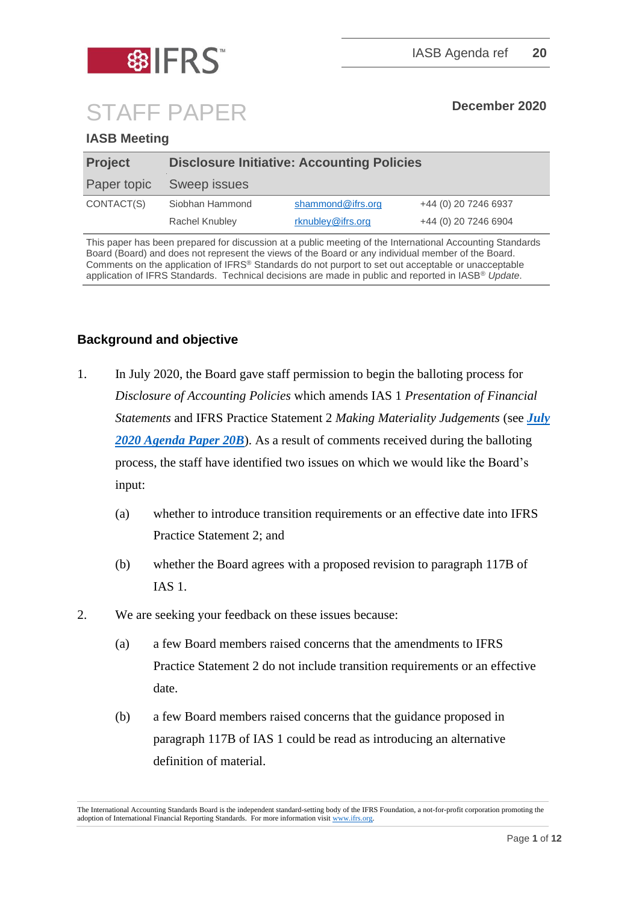

# STAFF PAPER **December <sup>2020</sup>**

## **IASB Meeting**

| <b>Project</b> | <b>Disclosure Initiative: Accounting Policies</b> |                   |                      |
|----------------|---------------------------------------------------|-------------------|----------------------|
| Paper topic    | Sweep issues                                      |                   |                      |
| CONTACT(S)     | Siobhan Hammond                                   | shammond@ifrs.org | +44 (0) 20 7246 6937 |
|                | Rachel Knubley                                    | rknubley@ifrs.org | +44 (0) 20 7246 6904 |

This paper has been prepared for discussion at a public meeting of the International Accounting Standards Board (Board) and does not represent the views of the Board or any individual member of the Board. Comments on the application of IFRS® Standards do not purport to set out acceptable or unacceptable application of IFRS Standards. Technical decisions are made in public and reported in IASB® *Update*.

## **Background and objective**

- 1. In July 2020, the Board gave staff permission to begin the balloting process for *Disclosure of Accounting Policies* which amends IAS 1 *Presentation of Financial Statements* and IFRS Practice Statement 2 *Making Materiality Judgements* (see *[July](https://cdn.ifrs.org/-/media/feature/meetings/2020/july/iasb/ap20b-disclosure-initiative-accounting-policies.pdf)  [2020 Agenda Paper 20B](https://cdn.ifrs.org/-/media/feature/meetings/2020/july/iasb/ap20b-disclosure-initiative-accounting-policies.pdf)*). As a result of comments received during the balloting process, the staff have identified two issues on which we would like the Board's input:
	- (a) whether to introduce transition requirements or an effective date into IFRS Practice Statement 2; and
	- (b) whether the Board agrees with a proposed revision to paragraph 117B of IAS 1.
- 2. We are seeking your feedback on these issues because:
	- (a) a few Board members raised concerns that the amendments to IFRS Practice Statement 2 do not include transition requirements or an effective date.
	- (b) a few Board members raised concerns that the guidance proposed in paragraph 117B of IAS 1 could be read as introducing an alternative definition of material.

The International Accounting Standards Board is the independent standard-setting body of the IFRS Foundation, a not-for-profit corporation promoting the adoption of International Financial Reporting Standards. For more information visi[t www.ifrs.org.](http://www.ifrs.org/)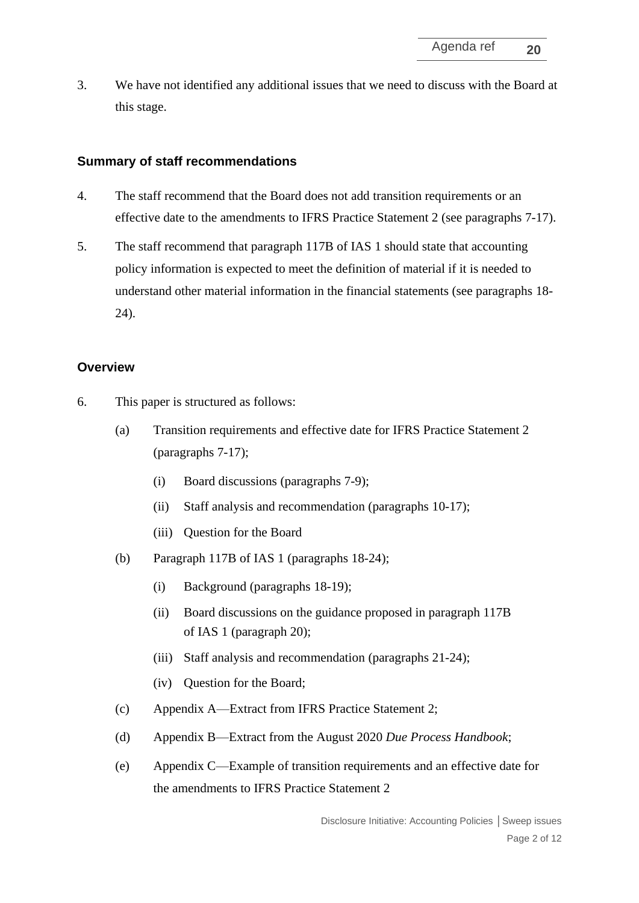3. We have not identified any additional issues that we need to discuss with the Board at this stage.

#### **Summary of staff recommendations**

- 4. The staff recommend that the Board does not add transition requirements or an effective date to the amendments to IFRS Practice Statement 2 (see paragraphs 7-17).
- 5. The staff recommend that paragraph 117B of IAS 1 should state that accounting policy information is expected to meet the definition of material if it is needed to understand other material information in the financial statements (see paragraphs 18- 24).

#### **Overview**

- 6. This paper is structured as follows:
	- (a) Transition requirements and effective date for IFRS Practice Statement 2 (paragraphs 7-17);
		- (i) Board discussions (paragraphs 7-9);
		- (ii) Staff analysis and recommendation (paragraphs 10-17);
		- (iii) Question for the Board
	- (b) Paragraph 117B of IAS 1 (paragraphs 18-24);
		- (i) Background (paragraphs 18-19);
		- (ii) Board discussions on the guidance proposed in paragraph 117B of IAS 1 (paragraph 20);
		- (iii) Staff analysis and recommendation (paragraphs 21-24);
		- (iv) Question for the Board;
	- (c) Appendix A—Extract from IFRS Practice Statement 2;
	- (d) Appendix B—Extract from the August 2020 *Due Process Handbook*;
	- (e) Appendix C—Example of transition requirements and an effective date for the amendments to IFRS Practice Statement 2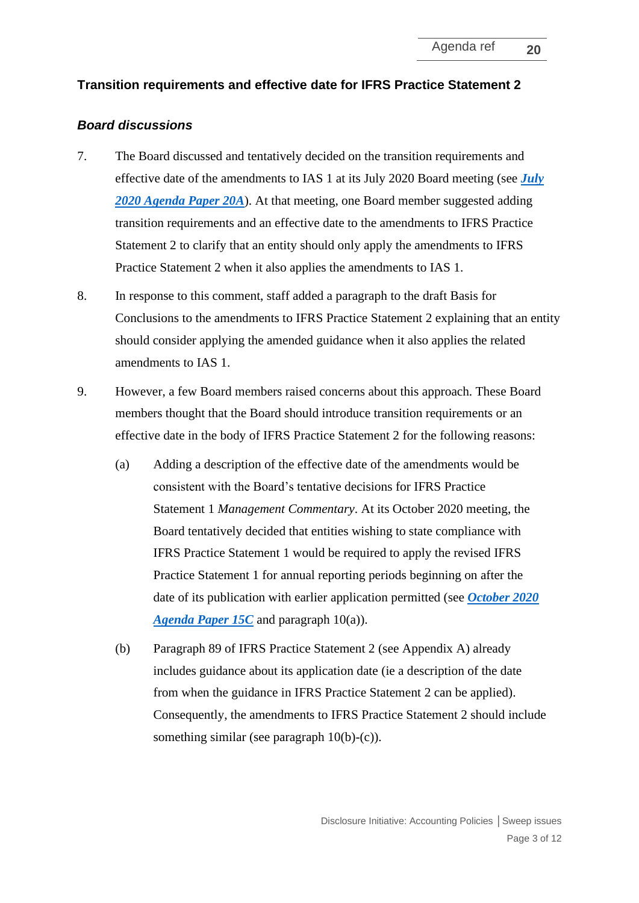#### **Transition requirements and effective date for IFRS Practice Statement 2**

#### *Board discussions*

- 7. The Board discussed and tentatively decided on the transition requirements and effective date of the amendments to IAS 1 at its July 2020 Board meeting (see *[July](https://cdn.ifrs.org/-/media/feature/meetings/2020/july/iasb/ap20a-disclosure-initiative-accounting-policies.pdf)  [2020 Agenda Paper 20A](https://cdn.ifrs.org/-/media/feature/meetings/2020/july/iasb/ap20a-disclosure-initiative-accounting-policies.pdf)*). At that meeting, one Board member suggested adding transition requirements and an effective date to the amendments to IFRS Practice Statement 2 to clarify that an entity should only apply the amendments to IFRS Practice Statement 2 when it also applies the amendments to IAS 1.
- 8. In response to this comment, staff added a paragraph to the draft Basis for Conclusions to the amendments to IFRS Practice Statement 2 explaining that an entity should consider applying the amended guidance when it also applies the related amendments to IAS 1.
- 9. However, a few Board members raised concerns about this approach. These Board members thought that the Board should introduce transition requirements or an effective date in the body of IFRS Practice Statement 2 for the following reasons:
	- (a) Adding a description of the effective date of the amendments would be consistent with the Board's tentative decisions for IFRS Practice Statement 1 *Management Commentary*. At its October 2020 meeting, the Board tentatively decided that entities wishing to state compliance with IFRS Practice Statement 1 would be required to apply the revised IFRS Practice Statement 1 for annual reporting periods beginning on after the date of its publication with earlier application permitted (see *[October 2020](https://cdn.ifrs.org/-/media/feature/meetings/2020/october/iasb/ap15c-management-commentary.pdf)  [Agenda Paper 15C](https://cdn.ifrs.org/-/media/feature/meetings/2020/october/iasb/ap15c-management-commentary.pdf)* and paragraph 10(a)).
	- (b) Paragraph 89 of IFRS Practice Statement 2 (see Appendix A) already includes guidance about its application date (ie a description of the date from when the guidance in IFRS Practice Statement 2 can be applied). Consequently, the amendments to IFRS Practice Statement 2 should include something similar (see paragraph 10(b)-(c)).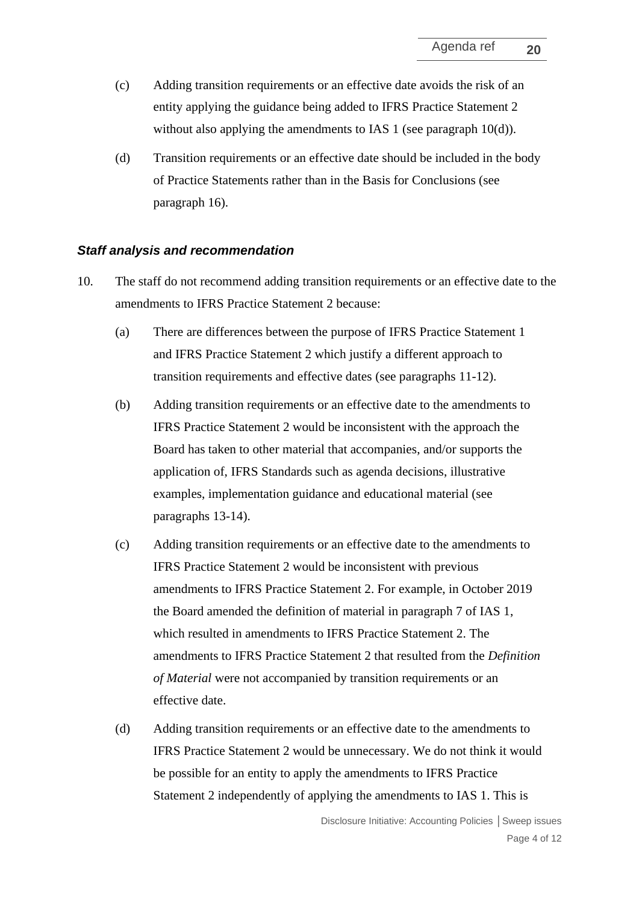- (c) Adding transition requirements or an effective date avoids the risk of an entity applying the guidance being added to IFRS Practice Statement 2 without also applying the amendments to IAS 1 (see paragraph 10(d)).
- (d) Transition requirements or an effective date should be included in the body of Practice Statements rather than in the Basis for Conclusions (see paragraph 16).

#### *Staff analysis and recommendation*

- 10. The staff do not recommend adding transition requirements or an effective date to the amendments to IFRS Practice Statement 2 because:
	- (a) There are differences between the purpose of IFRS Practice Statement 1 and IFRS Practice Statement 2 which justify a different approach to transition requirements and effective dates (see paragraphs 11-12).
	- (b) Adding transition requirements or an effective date to the amendments to IFRS Practice Statement 2 would be inconsistent with the approach the Board has taken to other material that accompanies, and/or supports the application of, IFRS Standards such as agenda decisions, illustrative examples, implementation guidance and educational material (see paragraphs 13-14).
	- (c) Adding transition requirements or an effective date to the amendments to IFRS Practice Statement 2 would be inconsistent with previous amendments to IFRS Practice Statement 2. For example, in October 2019 the Board amended the definition of material in paragraph 7 of IAS 1, which resulted in amendments to IFRS Practice Statement 2. The amendments to IFRS Practice Statement 2 that resulted from the *Definition of Material* were not accompanied by transition requirements or an effective date.
	- (d) Adding transition requirements or an effective date to the amendments to IFRS Practice Statement 2 would be unnecessary. We do not think it would be possible for an entity to apply the amendments to IFRS Practice Statement 2 independently of applying the amendments to IAS 1. This is

Disclosure Initiative: Accounting Policies **│**Sweep issues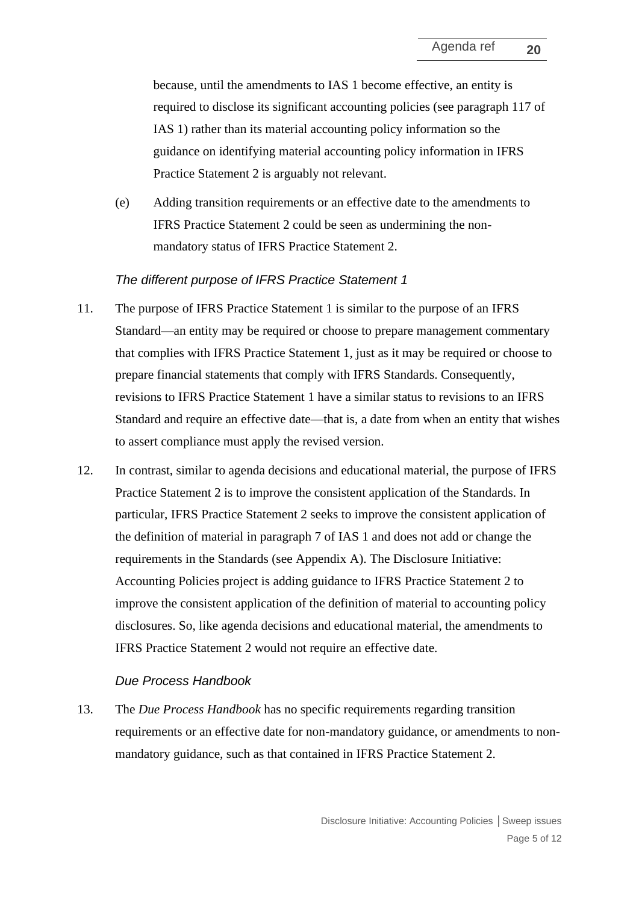because, until the amendments to IAS 1 become effective, an entity is required to disclose its significant accounting policies (see paragraph 117 of IAS 1) rather than its material accounting policy information so the guidance on identifying material accounting policy information in IFRS Practice Statement 2 is arguably not relevant.

(e) Adding transition requirements or an effective date to the amendments to IFRS Practice Statement 2 could be seen as undermining the nonmandatory status of IFRS Practice Statement 2.

#### *The different purpose of IFRS Practice Statement 1*

- 11. The purpose of IFRS Practice Statement 1 is similar to the purpose of an IFRS Standard—an entity may be required or choose to prepare management commentary that complies with IFRS Practice Statement 1, just as it may be required or choose to prepare financial statements that comply with IFRS Standards. Consequently, revisions to IFRS Practice Statement 1 have a similar status to revisions to an IFRS Standard and require an effective date—that is, a date from when an entity that wishes to assert compliance must apply the revised version.
- 12. In contrast, similar to agenda decisions and educational material, the purpose of IFRS Practice Statement 2 is to improve the consistent application of the Standards. In particular, IFRS Practice Statement 2 seeks to improve the consistent application of the definition of material in paragraph 7 of IAS 1 and does not add or change the requirements in the Standards (see Appendix A). The Disclosure Initiative: Accounting Policies project is adding guidance to IFRS Practice Statement 2 to improve the consistent application of the definition of material to accounting policy disclosures. So, like agenda decisions and educational material, the amendments to IFRS Practice Statement 2 would not require an effective date.

#### *Due Process Handbook*

13. The *Due Process Handbook* has no specific requirements regarding transition requirements or an effective date for non-mandatory guidance, or amendments to nonmandatory guidance, such as that contained in IFRS Practice Statement 2.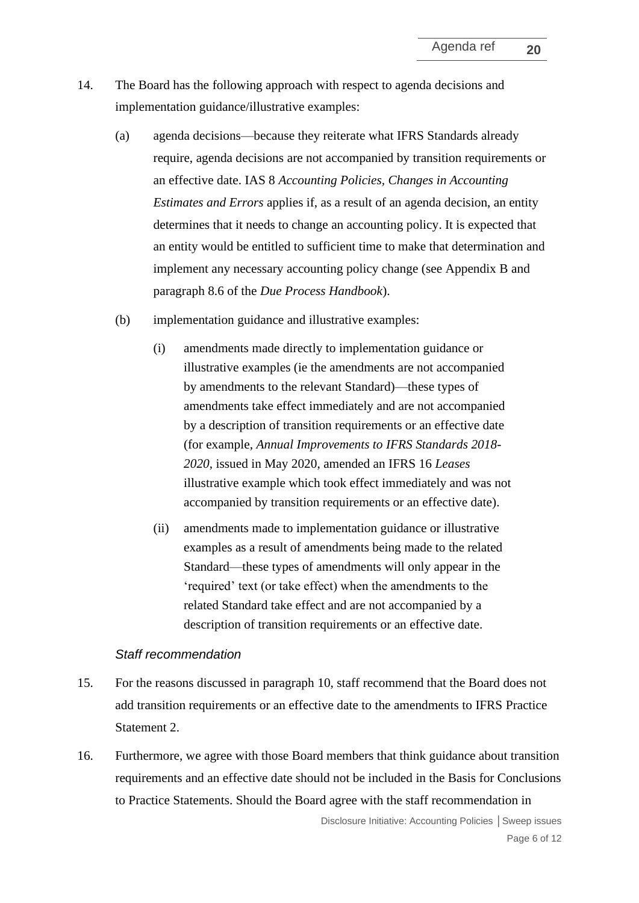- 14. The Board has the following approach with respect to agenda decisions and implementation guidance/illustrative examples:
	- (a) agenda decisions—because they reiterate what IFRS Standards already require, agenda decisions are not accompanied by transition requirements or an effective date. IAS 8 *Accounting Policies, Changes in Accounting Estimates and Errors* applies if, as a result of an agenda decision, an entity determines that it needs to change an accounting policy. It is expected that an entity would be entitled to sufficient time to make that determination and implement any necessary accounting policy change (see Appendix B and paragraph 8.6 of the *Due Process Handbook*).
	- (b) implementation guidance and illustrative examples:
		- (i) amendments made directly to implementation guidance or illustrative examples (ie the amendments are not accompanied by amendments to the relevant Standard)—these types of amendments take effect immediately and are not accompanied by a description of transition requirements or an effective date (for example, *Annual Improvements to IFRS Standards 2018- 2020*, issued in May 2020, amended an IFRS 16 *Leases* illustrative example which took effect immediately and was not accompanied by transition requirements or an effective date).
		- (ii) amendments made to implementation guidance or illustrative examples as a result of amendments being made to the related Standard—these types of amendments will only appear in the 'required' text (or take effect) when the amendments to the related Standard take effect and are not accompanied by a description of transition requirements or an effective date.

#### *Staff recommendation*

- 15. For the reasons discussed in paragraph 10, staff recommend that the Board does not add transition requirements or an effective date to the amendments to IFRS Practice Statement 2.
- 16. Furthermore, we agree with those Board members that think guidance about transition requirements and an effective date should not be included in the Basis for Conclusions to Practice Statements. Should the Board agree with the staff recommendation in

Disclosure Initiative: Accounting Policies **│**Sweep issues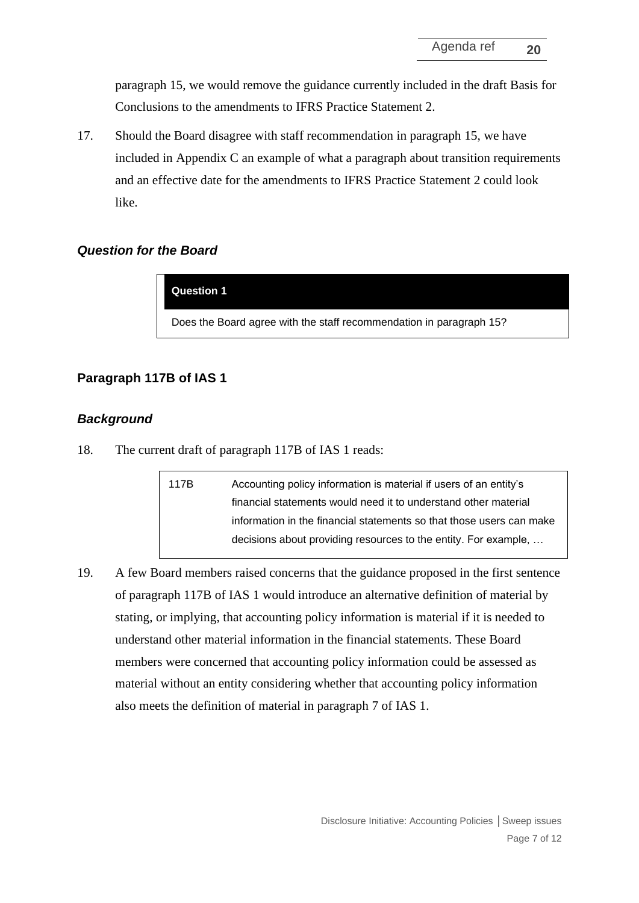paragraph 15, we would remove the guidance currently included in the draft Basis for Conclusions to the amendments to IFRS Practice Statement 2.

17. Should the Board disagree with staff recommendation in paragraph 15, we have included in Appendix C an example of what a paragraph about transition requirements and an effective date for the amendments to IFRS Practice Statement 2 could look like.

#### *Question for the Board*

**Question 1**

Does the Board agree with the staff recommendation in paragraph 15?

#### **Paragraph 117B of IAS 1**

#### *Background*

18. The current draft of paragraph 117B of IAS 1 reads:

117B Accounting policy information is material if users of an entity's financial statements would need it to understand other material information in the financial statements so that those users can make decisions about providing resources to the entity. For example, …

19. A few Board members raised concerns that the guidance proposed in the first sentence of paragraph 117B of IAS 1 would introduce an alternative definition of material by stating, or implying, that accounting policy information is material if it is needed to understand other material information in the financial statements. These Board members were concerned that accounting policy information could be assessed as material without an entity considering whether that accounting policy information also meets the definition of material in paragraph 7 of IAS 1.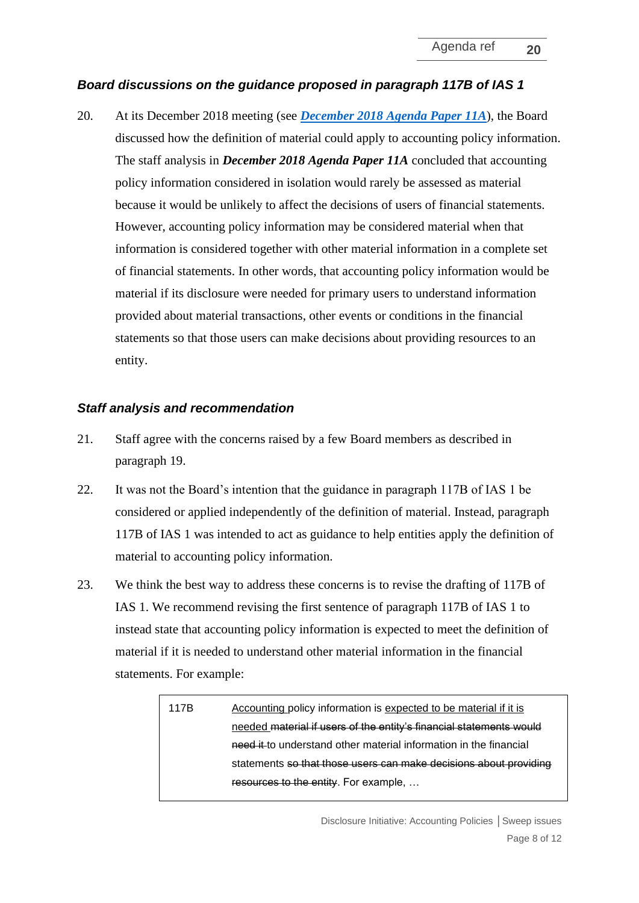## *Board discussions on the guidance proposed in paragraph 117B of IAS 1*

20. At its December 2018 meeting (see *December 2018 [Agenda Paper 11A](https://cdn.ifrs.org/-/media/feature/meetings/2018/december/iasb/ap11a-di.pdf)*), the Board discussed how the definition of material could apply to accounting policy information. The staff analysis in *December 2018 Agenda Paper 11A* concluded that accounting policy information considered in isolation would rarely be assessed as material because it would be unlikely to affect the decisions of users of financial statements. However, accounting policy information may be considered material when that information is considered together with other material information in a complete set of financial statements. In other words, that accounting policy information would be material if its disclosure were needed for primary users to understand information provided about material transactions, other events or conditions in the financial statements so that those users can make decisions about providing resources to an entity.

#### *Staff analysis and recommendation*

- 21. Staff agree with the concerns raised by a few Board members as described in paragraph 19.
- 22. It was not the Board's intention that the guidance in paragraph 117B of IAS 1 be considered or applied independently of the definition of material. Instead, paragraph 117B of IAS 1 was intended to act as guidance to help entities apply the definition of material to accounting policy information.
- 23. We think the best way to address these concerns is to revise the drafting of 117B of IAS 1. We recommend revising the first sentence of paragraph 117B of IAS 1 to instead state that accounting policy information is expected to meet the definition of material if it is needed to understand other material information in the financial statements. For example:

117B Accounting policy information is expected to be material if it is needed material if users of the entity's financial statements would need it to understand other material information in the financial statements so that those users can make decisions about providing resources to the entity. For example, …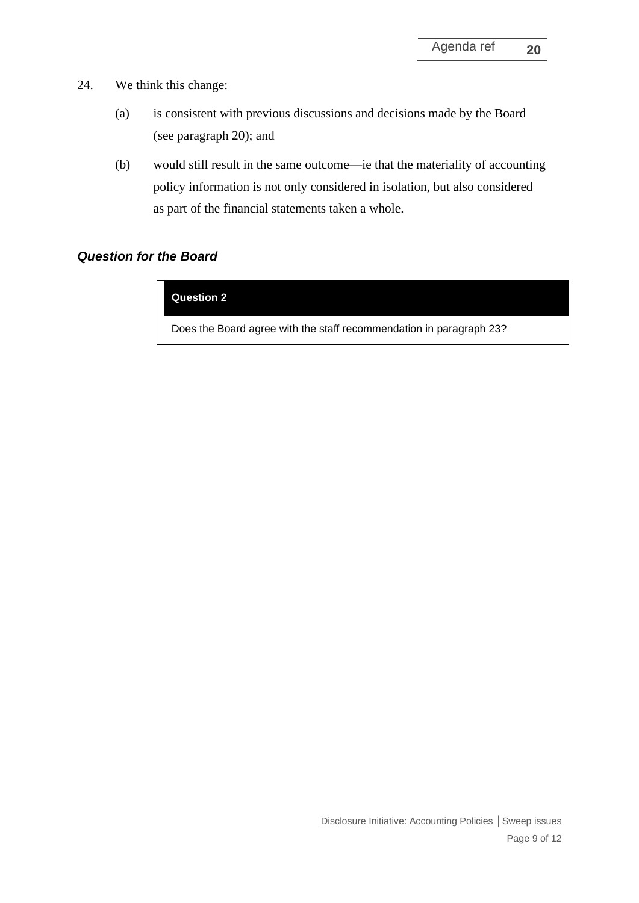- 24. We think this change:
	- (a) is consistent with previous discussions and decisions made by the Board (see paragraph 20); and
	- (b) would still result in the same outcome—ie that the materiality of accounting policy information is not only considered in isolation, but also considered as part of the financial statements taken a whole.

# *Question for the Board*

#### **Question 2**

Does the Board agree with the staff recommendation in paragraph 23?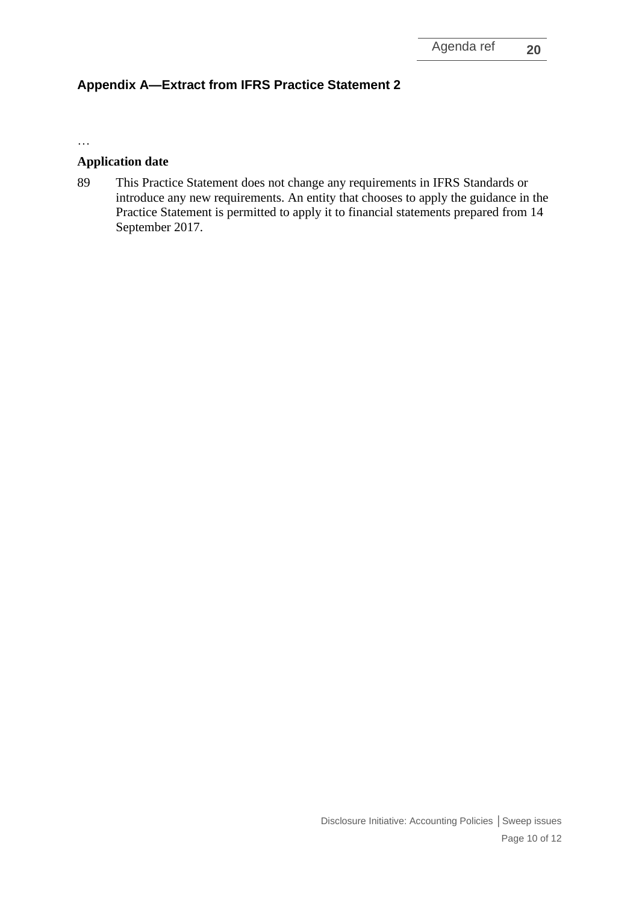# **Appendix A—Extract from IFRS Practice Statement 2**

…

#### **Application date**

89 This Practice Statement does not change any requirements in IFRS Standards or introduce any new requirements. An entity that chooses to apply the guidance in the Practice Statement is permitted to apply it to financial statements prepared from 14 September 2017.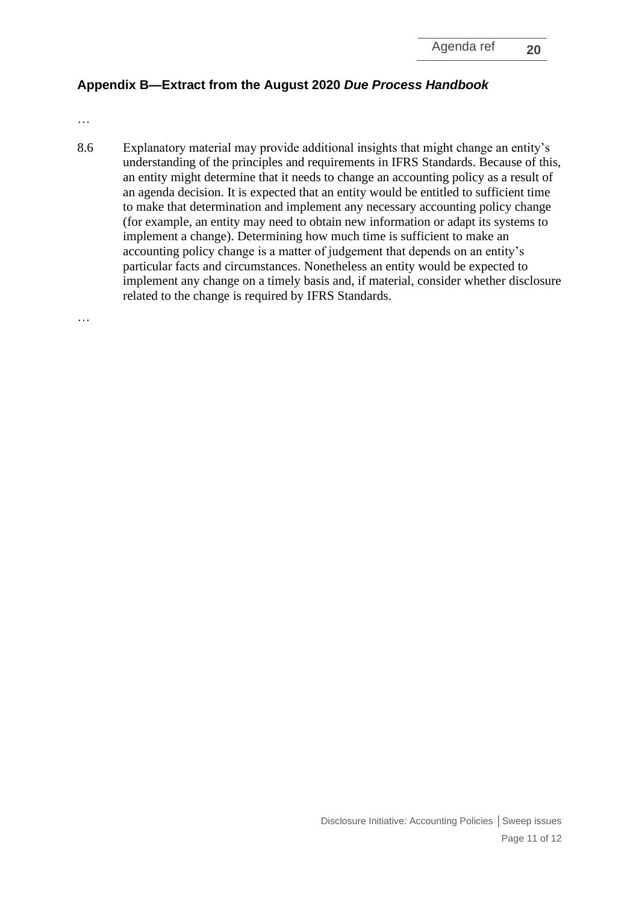# **Appendix B—Extract from the August 2020** *Due Process Handbook*

…

8.6 Explanatory material may provide additional insights that might change an entity's understanding of the principles and requirements in IFRS Standards. Because of this, an entity might determine that it needs to change an accounting policy as a result of an agenda decision. It is expected that an entity would be entitled to sufficient time to make that determination and implement any necessary accounting policy change (for example, an entity may need to obtain new information or adapt its systems to implement a change). Determining how much time is sufficient to make an accounting policy change is a matter of judgement that depends on an entity's particular facts and circumstances. Nonetheless an entity would be expected to implement any change on a timely basis and, if material, consider whether disclosure related to the change is required by IFRS Standards.

…